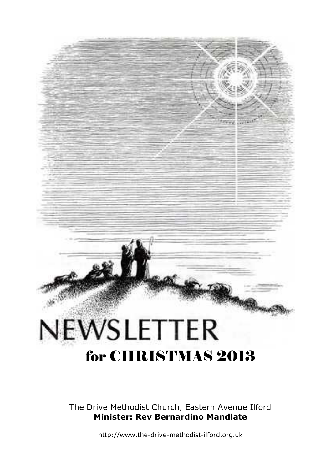# NEWSLETTER for CHRISTMAS 2013

The Drive Methodist Church, Eastern Avenue Ilford **Minister: Rev Bernardino Mandlate**

http://www.the-drive-methodist-ilford.org.uk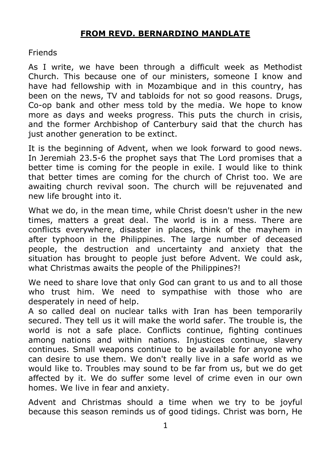#### **FROM REVD. BERNARDINO MANDLATE**

Friends

As I write, we have been through a difficult week as Methodist Church. This because one of our ministers, someone I know and have had fellowship with in Mozambique and in this country, has been on the news, TV and tabloids for not so good reasons. Drugs, Co-op bank and other mess told by the media. We hope to know more as days and weeks progress. This puts the church in crisis, and the former Archbishop of Canterbury said that the church has just another generation to be extinct.

It is the beginning of Advent, when we look forward to good news. In Jeremiah 23.5-6 the prophet says that The Lord promises that a better time is coming for the people in exile. I would like to think that better times are coming for the church of Christ too. We are awaiting church revival soon. The church will be rejuvenated and new life brought into it.

What we do, in the mean time, while Christ doesn't usher in the new times, matters a great deal. The world is in a mess. There are conflicts everywhere, disaster in places, think of the mayhem in after typhoon in the Philippines. The large number of deceased people, the destruction and uncertainty and anxiety that the situation has brought to people just before Advent. We could ask, what Christmas awaits the people of the Philippines?!

We need to share love that only God can grant to us and to all those who trust him. We need to sympathise with those who are desperately in need of help.

A so called deal on nuclear talks with Iran has been temporarily secured. They tell us it will make the world safer. The trouble is, the world is not a safe place. Conflicts continue, fighting continues among nations and within nations. Injustices continue, slavery continues. Small weapons continue to be available for anyone who can desire to use them. We don't really live in a safe world as we would like to. Troubles may sound to be far from us, but we do get affected by it. We do suffer some level of crime even in our own homes. We live in fear and anxiety.

Advent and Christmas should a time when we try to be joyful because this season reminds us of good tidings. Christ was born, He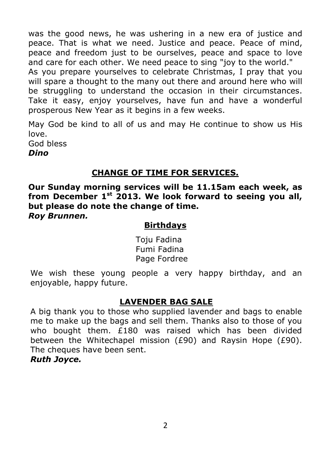was the good news, he was ushering in a new era of justice and peace. That is what we need. Justice and peace. Peace of mind, peace and freedom just to be ourselves, peace and space to love and care for each other. We need peace to sing "joy to the world." As you prepare yourselves to celebrate Christmas, I pray that you will spare a thought to the many out there and around here who will be struggling to understand the occasion in their circumstances. Take it easy, enjoy yourselves, have fun and have a wonderful prosperous New Year as it begins in a few weeks.

May God be kind to all of us and may He continue to show us His love. God bless *Dino*

#### **CHANGE OF TIME FOR SERVICES.**

**Our Sunday morning services will be 11.15am each week, as from December 1st 2013. We look forward to seeing you all, but please do note the change of time.** *Roy Brunnen.*

#### **Birthdays**

Toju Fadina Fumi Fadina Page Fordree

We wish these young people a very happy birthday, and an enjoyable, happy future.

#### **LAVENDER BAG SALE**

A big thank you to those who supplied lavender and bags to enable me to make up the bags and sell them. Thanks also to those of you who bought them. £180 was raised which has been divided between the Whitechapel mission (£90) and Raysin Hope (£90). The cheques have been sent. *Ruth Joyce.*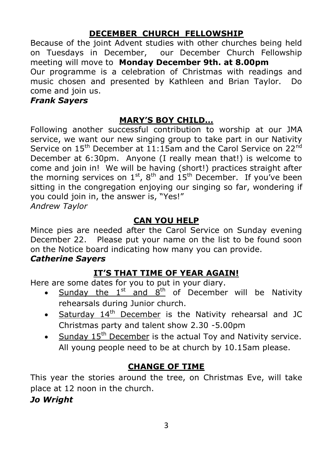## **DECEMBER CHURCH FELLOWSHIP**

Because of the joint Advent studies with other churches being held on Tuesdays in December, our December Church Fellowship meeting will move to **Monday December 9th. at 8.00pm** Our programme is a celebration of Christmas with readings and music chosen and presented by Kathleen and Brian Taylor. Do come and join us.

#### *Frank Sayers*

## **MARY'S BOY CHILD…**

Following another successful contribution to worship at our JMA service, we want our new singing group to take part in our Nativity Service on 15<sup>th</sup> December at 11:15am and the Carol Service on 22<sup>nd</sup> December at 6:30pm. Anyone (I really mean that!) is welcome to come and join in! We will be having (short!) practices straight after the morning services on  $1^{st}$ ,  $8^{th}$  and  $15^{th}$  December. If you've been sitting in the congregation enjoying our singing so far, wondering if you could join in, the answer is, "Yes!" *Andrew Taylor*

#### **CAN YOU HELP**

Mince pies are needed after the Carol Service on Sunday evening December 22. Please put your name on the list to be found soon on the Notice board indicating how many you can provide.

#### *Catherine Sayers*

## **IT'S THAT TIME OF YEAR AGAIN!**

Here are some dates for you to put in your diary.

- Sunday the  $1^{st}$  and  $8^{th}$  of December will be Nativity rehearsals during Junior church.
- Saturday  $14<sup>th</sup>$  December is the Nativity rehearsal and JC Christmas party and talent show 2.30 -5.00pm
- $\bullet$  Sunday 15<sup>th</sup> December is the actual Toy and Nativity service. All young people need to be at church by 10.15am please.

## **CHANGE OF TIME**

This year the stories around the tree, on Christmas Eve, will take place at 12 noon in the church.

*Jo Wright*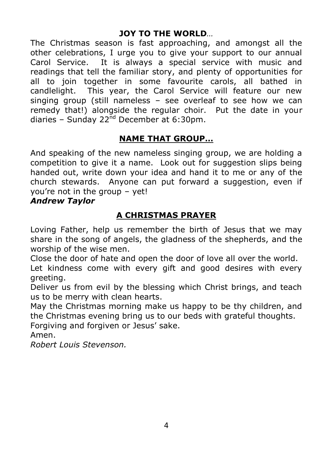#### **JOY TO THE WORLD***…*

The Christmas season is fast approaching, and amongst all the other celebrations, I urge you to give your support to our annual Carol Service. It is always a special service with music and readings that tell the familiar story, and plenty of opportunities for all to join together in some favourite carols, all bathed in candlelight. This year, the Carol Service will feature our new singing group (still nameless – see overleaf to see how we can remedy that!) alongside the regular choir. Put the date in your diaries – Sunday 22<sup>nd</sup> December at 6:30pm.

## **NAME THAT GROUP…**

And speaking of the new nameless singing group, we are holding a competition to give it a name. Look out for suggestion slips being handed out, write down your idea and hand it to me or any of the church stewards. Anyone can put forward a suggestion, even if you're not in the group – yet!

#### *Andrew Taylor*

## **A CHRISTMAS PRAYER**

Loving Father, help us remember the birth of Jesus that we may share in the song of angels, the gladness of the shepherds, and the worship of the wise men.

Close the door of hate and open the door of love all over the world. Let kindness come with every gift and good desires with every greeting.

Deliver us from evil by the blessing which Christ brings, and teach us to be merry with clean hearts.

May the Christmas morning make us happy to be thy children, and the Christmas evening bring us to our beds with grateful thoughts.

Forgiving and forgiven or Jesus' sake.

Amen.

*Robert Louis Stevenson.*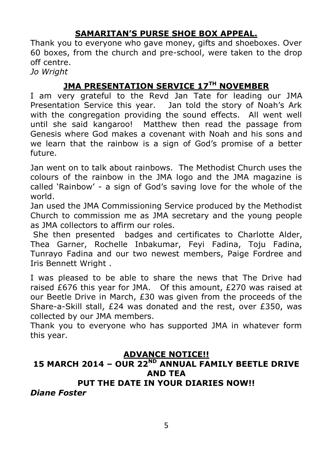## **SAMARITAN'S PURSE SHOE BOX APPEAL.**

Thank you to everyone who gave money, gifts and shoeboxes. Over 60 boxes, from the church and pre-school, were taken to the drop off centre.

*Jo Wright*

## **JMA PRESENTATION SERVICE 17TH NOVEMBER**

I am very grateful to the Revd Jan Tate for leading our JMA Presentation Service this year. Jan told the story of Noah's Ark with the congregation providing the sound effects. All went well until she said kangaroo! Matthew then read the passage from Genesis where God makes a covenant with Noah and his sons and we learn that the rainbow is a sign of God's promise of a better future.

Jan went on to talk about rainbows. The Methodist Church uses the colours of the rainbow in the JMA logo and the JMA magazine is called 'Rainbow' - a sign of God's saving love for the whole of the world.

Jan used the JMA Commissioning Service produced by the Methodist Church to commission me as JMA secretary and the young people as JMA collectors to affirm our roles.

She then presented badges and certificates to Charlotte Alder, Thea Garner, Rochelle Inbakumar, Feyi Fadina, Toju Fadina, Tunrayo Fadina and our two newest members, Paige Fordree and Iris Bennett Wright .

I was pleased to be able to share the news that The Drive had raised £676 this year for JMA. Of this amount, £270 was raised at our Beetle Drive in March, £30 was given from the proceeds of the Share-a-Skill stall, £24 was donated and the rest, over £350, was collected by our JMA members.

Thank you to everyone who has supported JMA in whatever form this year.

## **ADVANCE NOTICE!!**

## **15 MARCH 2014 – OUR 22ND ANNUAL FAMILY BEETLE DRIVE AND TEA**

## **PUT THE DATE IN YOUR DIARIES NOW!!**

*Diane Foster*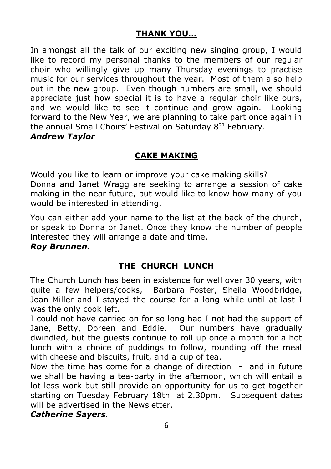## **THANK YOU…**

In amongst all the talk of our exciting new singing group, I would like to record my personal thanks to the members of our regular choir who willingly give up many Thursday evenings to practise music for our services throughout the year. Most of them also help out in the new group. Even though numbers are small, we should appreciate just how special it is to have a regular choir like ours, and we would like to see it continue and grow again. Looking forward to the New Year, we are planning to take part once again in the annual Small Choirs' Festival on Saturday 8<sup>th</sup> February. *Andrew Taylor*

## **CAKE MAKING**

Would you like to learn or improve your cake making skills? Donna and Janet Wragg are seeking to arrange a session of cake making in the near future, but would like to know how many of you would be interested in attending.

You can either add your name to the list at the back of the church, or speak to Donna or Janet. Once they know the number of people interested they will arrange a date and time.

#### *Roy Brunnen.*

## **THE CHURCH LUNCH**

The Church Lunch has been in existence for well over 30 years, with quite a few helpers/cooks, Barbara Foster, Sheila Woodbridge, Joan Miller and I stayed the course for a long while until at last I was the only cook left.

I could not have carried on for so long had I not had the support of Jane, Betty, Doreen and Eddie. Our numbers have gradually dwindled, but the guests continue to roll up once a month for a hot lunch with a choice of puddings to follow, rounding off the meal with cheese and biscuits, fruit, and a cup of tea.

Now the time has come for a change of direction - and in future we shall be having a tea-party in the afternoon, which will entail a lot less work but still provide an opportunity for us to get together starting on Tuesday February 18th at 2.30pm. Subsequent dates will be advertised in the Newsletter.

#### *Catherine Sayers.*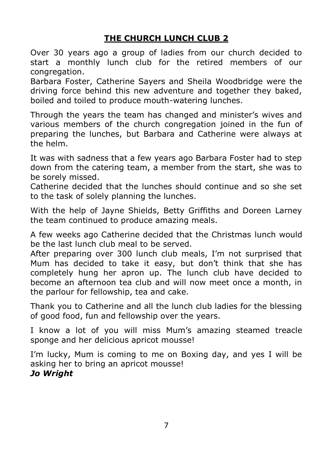## **THE CHURCH LUNCH CLUB 2**

Over 30 years ago a group of ladies from our church decided to start a monthly lunch club for the retired members of our congregation.

Barbara Foster, Catherine Sayers and Sheila Woodbridge were the driving force behind this new adventure and together they baked, boiled and toiled to produce mouth-watering lunches.

Through the years the team has changed and minister's wives and various members of the church congregation joined in the fun of preparing the lunches, but Barbara and Catherine were always at the helm.

It was with sadness that a few years ago Barbara Foster had to step down from the catering team, a member from the start, she was to be sorely missed.

Catherine decided that the lunches should continue and so she set to the task of solely planning the lunches.

With the help of Jayne Shields, Betty Griffiths and Doreen Larney the team continued to produce amazing meals.

A few weeks ago Catherine decided that the Christmas lunch would be the last lunch club meal to be served.

After preparing over 300 lunch club meals, I'm not surprised that Mum has decided to take it easy, but don't think that she has completely hung her apron up. The lunch club have decided to become an afternoon tea club and will now meet once a month, in the parlour for fellowship, tea and cake.

Thank you to Catherine and all the lunch club ladies for the blessing of good food, fun and fellowship over the years.

I know a lot of you will miss Mum's amazing steamed treacle sponge and her delicious apricot mousse!

I'm lucky, Mum is coming to me on Boxing day, and yes I will be asking her to bring an apricot mousse! *Jo Wright*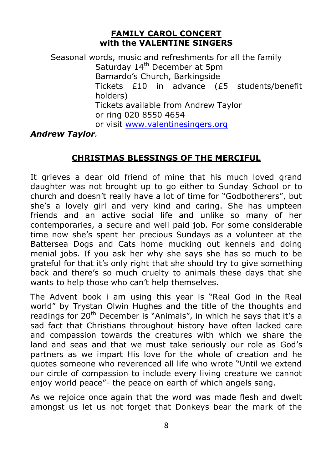#### **FAMILY CAROL CONCERT with the VALENTINE SINGERS**

Seasonal words, music and refreshments for all the family Saturday 14<sup>th</sup> December at 5pm Barnardo's Church, Barkingside Tickets £10 in advance (£5 students/benefit holders) Tickets available from Andrew Taylor or ring 020 8550 4654 or visit www.valentinesingers.org

#### *Andrew Taylor.*

#### **CHRISTMAS BLESSINGS OF THE MERCIFUL**

It grieves a dear old friend of mine that his much loved grand daughter was not brought up to go either to Sunday School or to church and doesn't really have a lot of time for "Godbotherers", but she's a lovely girl and very kind and caring. She has umpteen friends and an active social life and unlike so many of her contemporaries, a secure and well paid job. For some considerable time now she's spent her precious Sundays as a volunteer at the Battersea Dogs and Cats home mucking out kennels and doing menial jobs. If you ask her why she says she has so much to be grateful for that it's only right that she should try to give something back and there's so much cruelty to animals these days that she wants to help those who can't help themselves.

The Advent book i am using this year is "Real God in the Real world" by Trystan Olwin Hughes and the title of the thoughts and readings for  $20<sup>th</sup>$  December is "Animals", in which he says that it's a sad fact that Christians throughout history have often lacked care and compassion towards the creatures with which we share the land and seas and that we must take seriously our role as God's partners as we impart His love for the whole of creation and he quotes someone who reverenced all life who wrote "Until we extend our circle of compassion to include every living creature we cannot enjoy world peace"- the peace on earth of which angels sang.

As we rejoice once again that the word was made flesh and dwelt amongst us let us not forget that Donkeys bear the mark of the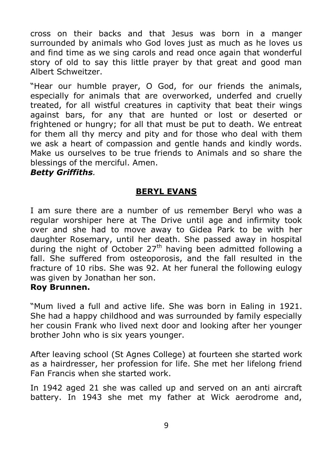cross on their backs and that Jesus was born in a manger surrounded by animals who God loves just as much as he loves us and find time as we sing carols and read once again that wonderful story of old to say this little prayer by that great and good man Albert Schweitzer.

"Hear our humble prayer, O God, for our friends the animals, especially for animals that are overworked, underfed and cruelly treated, for all wistful creatures in captivity that beat their wings against bars, for any that are hunted or lost or deserted or frightened or hungry; for all that must be put to death. We entreat for them all thy mercy and pity and for those who deal with them we ask a heart of compassion and gentle hands and kindly words. Make us ourselves to be true friends to Animals and so share the blessings of the merciful. Amen.

#### *Betty Griffiths.*

#### **BERYL EVANS**

I am sure there are a number of us remember Beryl who was a regular worshiper here at The Drive until age and infirmity took over and she had to move away to Gidea Park to be with her daughter Rosemary, until her death. She passed away in hospital during the night of October  $27<sup>th</sup>$  having been admitted following a fall. She suffered from osteoporosis, and the fall resulted in the fracture of 10 ribs. She was 92. At her funeral the following eulogy was given by Jonathan her son.

#### **Roy Brunnen.**

"Mum lived a full and active life. She was born in Ealing in 1921. She had a happy childhood and was surrounded by family especially her cousin Frank who lived next door and looking after her younger brother John who is six years younger.

After leaving school (St Agnes College) at fourteen she started work as a hairdresser, her profession for life. She met her lifelong friend Fan Francis when she started work.

In 1942 aged 21 she was called up and served on an anti aircraft battery. In 1943 she met my father at Wick aerodrome and,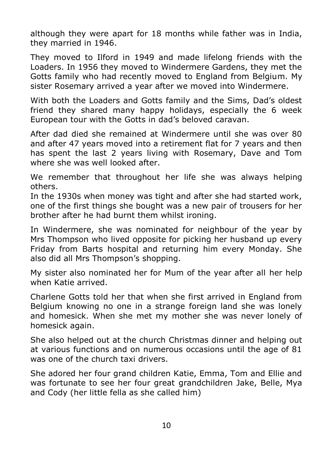although they were apart for 18 months while father was in India, they married in 1946.

They moved to Ilford in 1949 and made lifelong friends with the Loaders. In 1956 they moved to Windermere Gardens, they met the Gotts family who had recently moved to England from Belgium. My sister Rosemary arrived a year after we moved into Windermere.

With both the Loaders and Gotts family and the Sims, Dad's oldest friend they shared many happy holidays, especially the 6 week European tour with the Gotts in dad's beloved caravan.

After dad died she remained at Windermere until she was over 80 and after 47 years moved into a retirement flat for 7 years and then has spent the last 2 years living with Rosemary, Dave and Tom where she was well looked after.

We remember that throughout her life she was always helping others.

In the 1930s when money was tight and after she had started work, one of the first things she bought was a new pair of trousers for her brother after he had burnt them whilst ironing.

In Windermere, she was nominated for neighbour of the year by Mrs Thompson who lived opposite for picking her husband up every Friday from Barts hospital and returning him every Monday. She also did all Mrs Thompson's shopping.

My sister also nominated her for Mum of the year after all her help when Katie arrived.

Charlene Gotts told her that when she first arrived in England from Belgium knowing no one in a strange foreign land she was lonely and homesick. When she met my mother she was never lonely of homesick again.

She also helped out at the church Christmas dinner and helping out at various functions and on numerous occasions until the age of 81 was one of the church taxi drivers.

She adored her four grand children Katie, Emma, Tom and Ellie and was fortunate to see her four great grandchildren Jake, Belle, Mya and Cody (her little fella as she called him)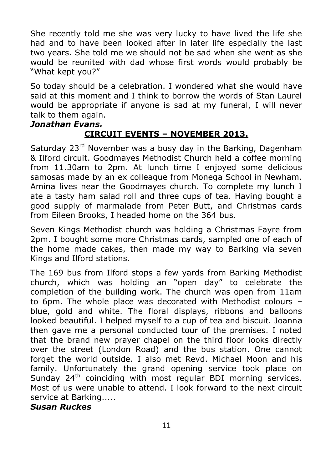She recently told me she was very lucky to have lived the life she had and to have been looked after in later life especially the last two years. She told me we should not be sad when she went as she would be reunited with dad whose first words would probably be "What kept you?"

So today should be a celebration. I wondered what she would have said at this moment and I think to borrow the words of Stan Laurel would be appropriate if anyone is sad at my funeral, I will never talk to them again.

#### *Jonathan Evans.*

## **CIRCUIT EVENTS – NOVEMBER 2013.**

Saturday  $23<sup>rd</sup>$  November was a busy day in the Barking, Dagenham & Ilford circuit. Goodmayes Methodist Church held a coffee morning from 11.30am to 2pm. At lunch time I enjoyed some delicious samosas made by an ex colleague from Monega School in Newham. Amina lives near the Goodmayes church. To complete my lunch I ate a tasty ham salad roll and three cups of tea. Having bought a good supply of marmalade from Peter Butt, and Christmas cards from Eileen Brooks, I headed home on the 364 bus.

Seven Kings Methodist church was holding a Christmas Fayre from 2pm. I bought some more Christmas cards, sampled one of each of the home made cakes, then made my way to Barking via seven Kings and Ilford stations.

The 169 bus from Ilford stops a few yards from Barking Methodist church, which was holding an "open day" to celebrate the completion of the building work. The church was open from 11am to 6pm. The whole place was decorated with Methodist colours – blue, gold and white. The floral displays, ribbons and balloons looked beautiful. I helped myself to a cup of tea and biscuit. Joanna then gave me a personal conducted tour of the premises. I noted that the brand new prayer chapel on the third floor looks directly over the street (London Road) and the bus station. One cannot forget the world outside. I also met Revd. Michael Moon and his family. Unfortunately the grand opening service took place on Sunday 24<sup>th</sup> coinciding with most regular BDI morning services. Most of us were unable to attend. I look forward to the next circuit service at Barking.....

#### *Susan Ruckes*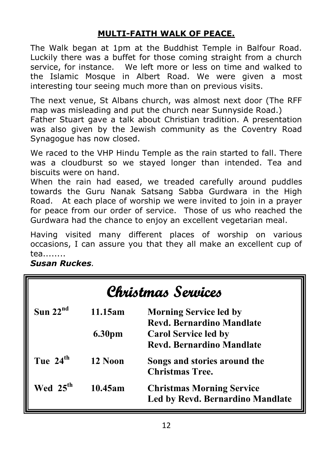## **MULTI-FAITH WALK OF PEACE.**

The Walk began at 1pm at the Buddhist Temple in Balfour Road. Luckily there was a buffet for those coming straight from a church service, for instance. We left more or less on time and walked to the Islamic Mosque in Albert Road. We were given a most interesting tour seeing much more than on previous visits.

The next venue, St Albans church, was almost next door (The RFF map was misleading and put the church near Sunnyside Road.) Father Stuart gave a talk about Christian tradition. A presentation was also given by the Jewish community as the Coventry Road Synagogue has now closed.

We raced to the VHP Hindu Temple as the rain started to fall. There was a cloudburst so we stayed longer than intended. Tea and biscuits were on hand.

When the rain had eased, we treaded carefully around puddles towards the Guru Nanak Satsang Sabba Gurdwara in the High Road. At each place of worship we were invited to join in a prayer for peace from our order of service. Those of us who reached the Gurdwara had the chance to enjoy an excellent vegetarian meal.

Having visited many different places of worship on various occasions, I can assure you that they all make an excellent cup of tea........

*Susan Ruckes.*

| Christmas Services   |         |                                                                             |  |  |
|----------------------|---------|-----------------------------------------------------------------------------|--|--|
| Sun $22nd$           | 11.15am | <b>Morning Service led by</b><br><b>Revd. Bernardino Mandlate</b>           |  |  |
|                      | 6.30pm  | <b>Carol Service led by</b><br><b>Revd. Bernardino Mandlate</b>             |  |  |
| Tue 24 <sup>th</sup> | 12 Noon | Songs and stories around the<br><b>Christmas Tree.</b>                      |  |  |
| Wed 25 <sup>th</sup> | 10.45am | <b>Christmas Morning Service</b><br><b>Led by Revd. Bernardino Mandlate</b> |  |  |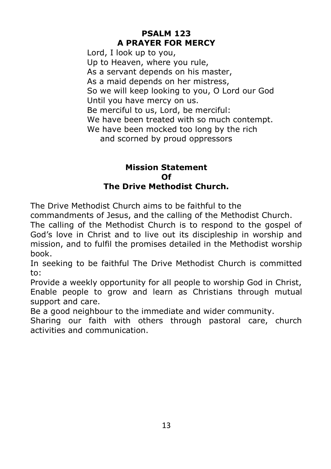## **PSALM 123 A PRAYER FOR MERCY**

Lord, I look up to you, Up to Heaven, where you rule, As a servant depends on his master, As a maid depends on her mistress, So we will keep looking to you, O Lord our God Until you have mercy on us. Be merciful to us, Lord, be merciful: We have been treated with so much contempt. We have been mocked too long by the rich and scorned by proud oppressors

#### **Mission Statement Of The Drive Methodist Church.**

The Drive Methodist Church aims to be faithful to the

commandments of Jesus, and the calling of the Methodist Church.

The calling of the Methodist Church is to respond to the gospel of God's love in Christ and to live out its discipleship in worship and mission, and to fulfil the promises detailed in the Methodist worship book.

In seeking to be faithful The Drive Methodist Church is committed to:

Provide a weekly opportunity for all people to worship God in Christ, Enable people to grow and learn as Christians through mutual support and care.

Be a good neighbour to the immediate and wider community.

Sharing our faith with others through pastoral care, church activities and communication.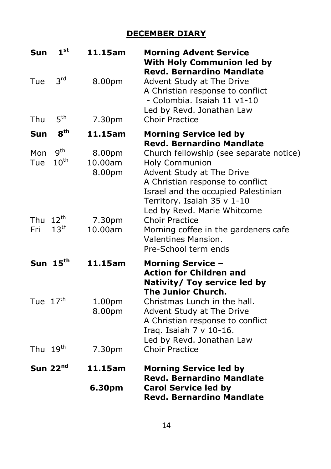## **DECEMBER DIARY**

| Sun                  | 1 <sup>st</sup>                | 11.15am                      | <b>Morning Advent Service</b><br><b>With Holy Communion led by</b><br><b>Revd. Bernardino Mandlate</b>                                                                                                                          |
|----------------------|--------------------------------|------------------------------|---------------------------------------------------------------------------------------------------------------------------------------------------------------------------------------------------------------------------------|
| Tue                  | 3 <sup>rd</sup>                | 8.00pm                       | Advent Study at The Drive<br>A Christian response to conflict<br>- Colombia. Isaiah 11 v1-10<br>Led by Revd. Jonathan Law                                                                                                       |
| Thu                  | 5 <sup>th</sup>                | 7.30pm                       | <b>Choir Practice</b>                                                                                                                                                                                                           |
| <b>Sun</b>           | 8 <sup>th</sup>                | 11.15am                      | <b>Morning Service led by</b><br><b>Revd. Bernardino Mandlate</b>                                                                                                                                                               |
| Mon<br>Tue           | <b>gth</b><br>$10^{\text{th}}$ | 8.00pm<br>10.00am<br>8.00pm  | Church fellowship (see separate notice)<br>Holy Communion<br>Advent Study at The Drive<br>A Christian response to conflict<br>Israel and the occupied Palestinian<br>Territory. Isaiah 35 v 1-10<br>Led by Revd. Marie Whitcome |
| Thu $12^{th}$<br>Fri | 13 <sup>th</sup>               | 7.30pm<br>10.00am            | <b>Choir Practice</b><br>Morning coffee in the gardeners cafe<br><b>Valentines Mansion.</b><br>Pre-School term ends                                                                                                             |
|                      | Sun $15th$                     | 11.15am                      | <b>Morning Service -</b><br><b>Action for Children and</b><br>Nativity/ Toy service led by<br><b>The Junior Church.</b>                                                                                                         |
| Tue 17 <sup>th</sup> |                                | 1.00 <sub>pm</sub><br>8.00pm | Christmas Lunch in the hall.<br>Advent Study at The Drive<br>A Christian response to conflict<br>Iraq. Isaiah $7 \vee 10-16$ .<br>Led by Revd. Jonathan Law                                                                     |
| Thu 19 <sup>th</sup> |                                | 7.30pm                       | <b>Choir Practice</b>                                                                                                                                                                                                           |
|                      | Sun $22nd$                     | 11.15am                      | <b>Morning Service led by</b><br><b>Revd. Bernardino Mandlate</b>                                                                                                                                                               |
|                      |                                | 6.30pm                       | <b>Carol Service led by</b><br><b>Revd. Bernardino Mandlate</b>                                                                                                                                                                 |